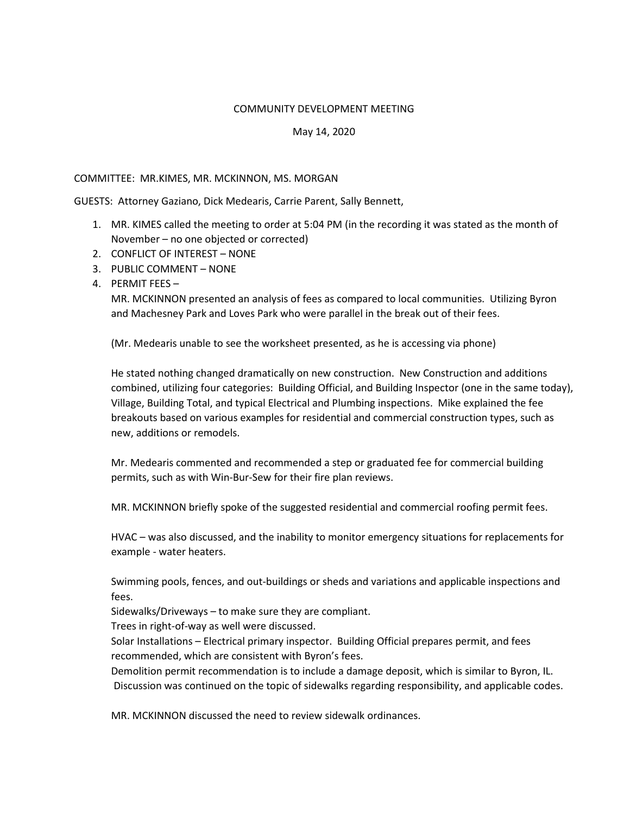## COMMUNITY DEVELOPMENT MEETING

## May 14, 2020

## COMMITTEE: MR.KIMES, MR. MCKINNON, MS. MORGAN

GUESTS: Attorney Gaziano, Dick Medearis, Carrie Parent, Sally Bennett,

- 1. MR. KIMES called the meeting to order at 5:04 PM (in the recording it was stated as the month of November – no one objected or corrected)
- 2. CONFLICT OF INTEREST NONE
- 3. PUBLIC COMMENT NONE
- 4. PERMIT FEES –

MR. MCKINNON presented an analysis of fees as compared to local communities. Utilizing Byron and Machesney Park and Loves Park who were parallel in the break out of their fees.

(Mr. Medearis unable to see the worksheet presented, as he is accessing via phone)

He stated nothing changed dramatically on new construction. New Construction and additions combined, utilizing four categories: Building Official, and Building Inspector (one in the same today), Village, Building Total, and typical Electrical and Plumbing inspections. Mike explained the fee breakouts based on various examples for residential and commercial construction types, such as new, additions or remodels.

Mr. Medearis commented and recommended a step or graduated fee for commercial building permits, such as with Win-Bur-Sew for their fire plan reviews.

MR. MCKINNON briefly spoke of the suggested residential and commercial roofing permit fees.

HVAC – was also discussed, and the inability to monitor emergency situations for replacements for example - water heaters.

Swimming pools, fences, and out-buildings or sheds and variations and applicable inspections and fees.

Sidewalks/Driveways – to make sure they are compliant.

Trees in right-of-way as well were discussed.

Solar Installations – Electrical primary inspector. Building Official prepares permit, and fees recommended, which are consistent with Byron's fees.

Demolition permit recommendation is to include a damage deposit, which is similar to Byron, IL. Discussion was continued on the topic of sidewalks regarding responsibility, and applicable codes.

MR. MCKINNON discussed the need to review sidewalk ordinances.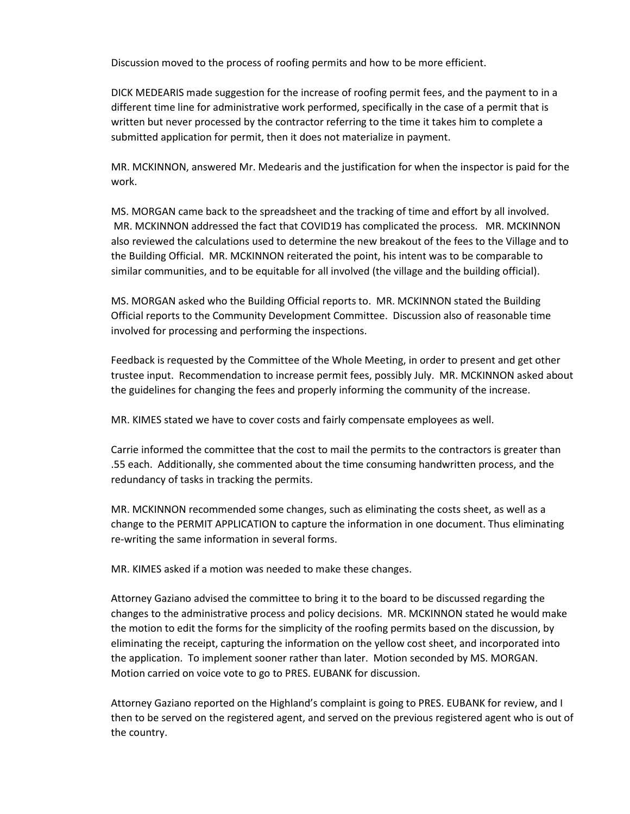Discussion moved to the process of roofing permits and how to be more efficient.

DICK MEDEARIS made suggestion for the increase of roofing permit fees, and the payment to in a different time line for administrative work performed, specifically in the case of a permit that is written but never processed by the contractor referring to the time it takes him to complete a submitted application for permit, then it does not materialize in payment.

MR. MCKINNON, answered Mr. Medearis and the justification for when the inspector is paid for the work.

MS. MORGAN came back to the spreadsheet and the tracking of time and effort by all involved. MR. MCKINNON addressed the fact that COVID19 has complicated the process. MR. MCKINNON also reviewed the calculations used to determine the new breakout of the fees to the Village and to the Building Official. MR. MCKINNON reiterated the point, his intent was to be comparable to similar communities, and to be equitable for all involved (the village and the building official).

MS. MORGAN asked who the Building Official reports to. MR. MCKINNON stated the Building Official reports to the Community Development Committee. Discussion also of reasonable time involved for processing and performing the inspections.

Feedback is requested by the Committee of the Whole Meeting, in order to present and get other trustee input. Recommendation to increase permit fees, possibly July. MR. MCKINNON asked about the guidelines for changing the fees and properly informing the community of the increase.

MR. KIMES stated we have to cover costs and fairly compensate employees as well.

Carrie informed the committee that the cost to mail the permits to the contractors is greater than .55 each. Additionally, she commented about the time consuming handwritten process, and the redundancy of tasks in tracking the permits.

MR. MCKINNON recommended some changes, such as eliminating the costs sheet, as well as a change to the PERMIT APPLICATION to capture the information in one document. Thus eliminating re-writing the same information in several forms.

MR. KIMES asked if a motion was needed to make these changes.

Attorney Gaziano advised the committee to bring it to the board to be discussed regarding the changes to the administrative process and policy decisions. MR. MCKINNON stated he would make the motion to edit the forms for the simplicity of the roofing permits based on the discussion, by eliminating the receipt, capturing the information on the yellow cost sheet, and incorporated into the application. To implement sooner rather than later. Motion seconded by MS. MORGAN. Motion carried on voice vote to go to PRES. EUBANK for discussion.

Attorney Gaziano reported on the Highland's complaint is going to PRES. EUBANK for review, and I then to be served on the registered agent, and served on the previous registered agent who is out of the country.